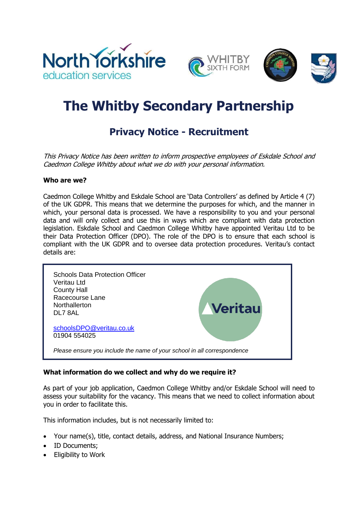







# **The Whitby Secondary Partnership**

# **Privacy Notice - Recruitment**

This Privacy Notice has been written to inform prospective employees of Eskdale School and Caedmon College Whitby about what we do with your personal information.

# **Who are we?**

Caedmon College Whitby and Eskdale School are 'Data Controllers' as defined by Article 4 (7) of the UK GDPR. This means that we determine the purposes for which, and the manner in which, your personal data is processed. We have a responsibility to you and your personal data and will only collect and use this in ways which are compliant with data protection legislation. Eskdale School and Caedmon College Whitby have appointed Veritau Ltd to be their Data Protection Officer (DPO). The role of the DPO is to ensure that each school is compliant with the UK GDPR and to oversee data protection procedures. Veritau's contact details are:



# **What information do we collect and why do we require it?**

As part of your job application, Caedmon College Whitby and/or Eskdale School will need to assess your suitability for the vacancy. This means that we need to collect information about you in order to facilitate this.

This information includes, but is not necessarily limited to:

- Your name(s), title, contact details, address, and National Insurance Numbers;
- ID Documents;
- Eligibility to Work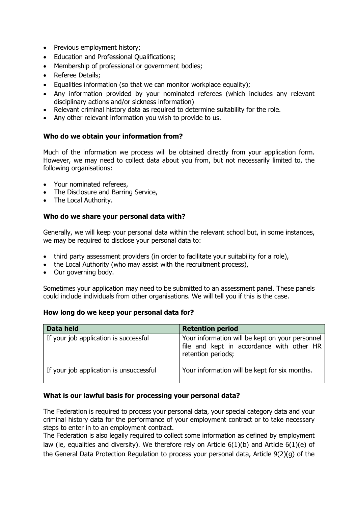- Previous employment history;
- Education and Professional Qualifications;
- Membership of professional or government bodies;
- Referee Details;
- Equalities information (so that we can monitor workplace equality);
- Any information provided by your nominated referees (which includes any relevant disciplinary actions and/or sickness information)
- Relevant criminal history data as required to determine suitability for the role.
- Any other relevant information you wish to provide to us.

#### **Who do we obtain your information from?**

Much of the information we process will be obtained directly from your application form. However, we may need to collect data about you from, but not necessarily limited to, the following organisations:

- Your nominated referees,
- The Disclosure and Barring Service,
- The Local Authority.

#### **Who do we share your personal data with?**

Generally, we will keep your personal data within the relevant school but, in some instances, we may be required to disclose your personal data to:

- third party assessment providers (in order to facilitate your suitability for a role),
- the Local Authority (who may assist with the recruitment process),
- Our governing body.

Sometimes your application may need to be submitted to an assessment panel. These panels could include individuals from other organisations. We will tell you if this is the case.

#### **How long do we keep your personal data for?**

| Data held                               | <b>Retention period</b>                                                                                            |
|-----------------------------------------|--------------------------------------------------------------------------------------------------------------------|
| If your job application is successful   | Your information will be kept on your personnel<br>file and kept in accordance with other HR<br>retention periods; |
| If your job application is unsuccessful | Your information will be kept for six months.                                                                      |

#### **What is our lawful basis for processing your personal data?**

The Federation is required to process your personal data, your special category data and your criminal history data for the performance of your employment contract or to take necessary steps to enter in to an employment contract.

The Federation is also legally required to collect some information as defined by employment law (ie, equalities and diversity). We therefore rely on Article 6(1)(b) and Article 6(1)(e) of the General Data Protection Regulation to process your personal data, Article 9(2)(g) of the